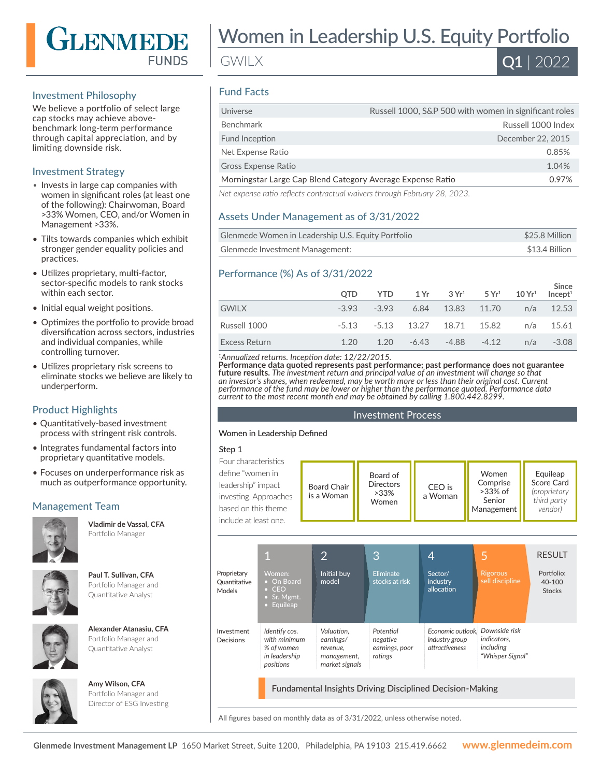

# Investment Philosophy

We believe a portfolio of select large cap stocks may achieve abovebenchmark long-term performance through capital appreciation, and by limiting downside risk.

## Investment Strategy

- Invests in large cap companies with women in significant roles (at least one of the following): Chairwoman, Board >33% Women, CEO, and/or Women in Management >33%.
- Tilts towards companies which exhibit stronger gender equality policies and practices.
- Utilizes proprietary, multi-factor, sector-specific models to rank stocks within each sector.
- Initial equal weight positions.
- Optimizes the portfolio to provide broad diversification across sectors, industries and individual companies, while controlling turnover.
- Utilizes proprietary risk screens to eliminate stocks we believe are likely to underperform.

# Product Highlights

- Quantitatively-based investment process with stringent risk controls.
- Integrates fundamental factors into proprietary quantitative models.
- Focuses on underperformance risk as much as outperformance opportunity.

# Management Team



**Vladimir de Vassal, CFA**  Portfolio Manager



**Paul T. Sullivan, CFA**  Portfolio Manager and Quantitative Analyst

| Alexander Atanasiu, CFA |
|-------------------------|
| Portfolio Manager and   |
| Quantitative Analyst    |
|                         |

Portfolio Manager and Quantitative Analyst

**Amy Wilson, CFA**  Portfolio Manager and Director of ESG Investing



Women in Leadership U.S. Equity Portfolio

GWILX



# Fund Facts

| Universe                                                   | Russell 1000, S&P 500 with women in significant roles |
|------------------------------------------------------------|-------------------------------------------------------|
| Benchmark                                                  | Russell 1000 Index                                    |
| Fund Inception                                             | December 22, 2015                                     |
| Net Expense Ratio                                          | 0.85%                                                 |
| <b>Gross Expense Ratio</b>                                 | 1.04%                                                 |
| Morningstar Large Cap Blend Category Average Expense Ratio | 0.97%                                                 |
| $\mathbf{a}$                                               |                                                       |

*Net expense ratio reflects contractual waivers through February 28, 2023.*

# Assets Under Management as of 3/31/2022

| Glenmede Women in Leadership U.S. Equity Portfolio | \$25.8 Million |
|----------------------------------------------------|----------------|
| Glenmede Investment Management:                    | \$13.4 Billion |

# Performance (%) As of 3/31/2022

|                      | <b>OTD</b> | YTD            | 1 Yr 3 Yr <sup>1</sup> 5 Yr <sup>1</sup> 10 Yr <sup>1</sup> Incept <sup>1</sup> |  | Since         |
|----------------------|------------|----------------|---------------------------------------------------------------------------------|--|---------------|
| <b>GWILX</b>         |            | $-3.93 - 3.93$ | 6.84 13.83 11.70                                                                |  | $n/a$ 12.53   |
| Russell 1000         |            |                | $-5.13$ $-5.13$ $13.27$ $18.71$ $15.82$ $n/a$ $15.61$                           |  |               |
| <b>Excess Return</b> | 1.20       | 1.20           | -6.43 -4.88 -4.12                                                               |  | $n/a$ $-3.08$ |

*<sup>1</sup>Annualized returns. Inception date: 12/22/2015.*

**Performance data quoted represents past performance; past performance does not guarantee future results.** *The investment return and principal value of an investment will change so that an investor's shares, when redeemed, may be worth more or less than their original cost. Current performance of the fund may be lower or higher than the performance quoted. Performance data current to the most recent month end may be obtained by calling 1.800.442.8299.*

#### Investment Process

#### Women in Leadership Defined

#### Step 1

| define "women in .<br>Women<br>Board of<br>Comprise<br><b>Directors</b><br>leadership" impact<br>CEO is<br><b>Board Chair</b><br>$>33\%$ of<br>$>33\%$<br>a Woman<br>is a Woman<br>investing. Approaches<br>Senior<br>Women<br>based on this theme<br>Management<br>include at least one. | Equileap<br>Score Card<br><i>(proprietary</i><br>third party<br>vendor) |
|-------------------------------------------------------------------------------------------------------------------------------------------------------------------------------------------------------------------------------------------------------------------------------------------|-------------------------------------------------------------------------|
|-------------------------------------------------------------------------------------------------------------------------------------------------------------------------------------------------------------------------------------------------------------------------------------------|-------------------------------------------------------------------------|

|                                              | 1                                                                         | $\overline{2}$                                                       | 3                                                  | 4                                                               | 5                                                                    | <b>RESULT</b>                         |
|----------------------------------------------|---------------------------------------------------------------------------|----------------------------------------------------------------------|----------------------------------------------------|-----------------------------------------------------------------|----------------------------------------------------------------------|---------------------------------------|
| Proprietary<br>Quantitative<br><b>Models</b> | Women:<br>• On Board<br>$\bullet$ CEO<br>• Sr. Mgmt.<br>• Equileap        | Initial buy<br>model                                                 | <b>Eliminate</b><br>stocks at risk                 | Sector/<br>industry<br>allocation                               | <b>Rigorous</b><br>sell discipline                                   | Portfolio:<br>40-100<br><b>Stocks</b> |
| Investment<br>Decisions                      | Identify cos.<br>with minimum<br>% of women<br>in leadership<br>positions | Valuation.<br>earnings/<br>revenue.<br>management,<br>market signals | Potential<br>negative<br>earnings, poor<br>ratings | Economic outlook.<br>industry group<br>attractiveness           | Downside risk<br><i>indicators.</i><br>including<br>"Whisper Signal" |                                       |
|                                              |                                                                           |                                                                      |                                                    | <b>Fundamental Insights Driving Disciplined Decision-Making</b> |                                                                      |                                       |

All figures based on monthly data as of 3/31/2022, unless otherwise noted.